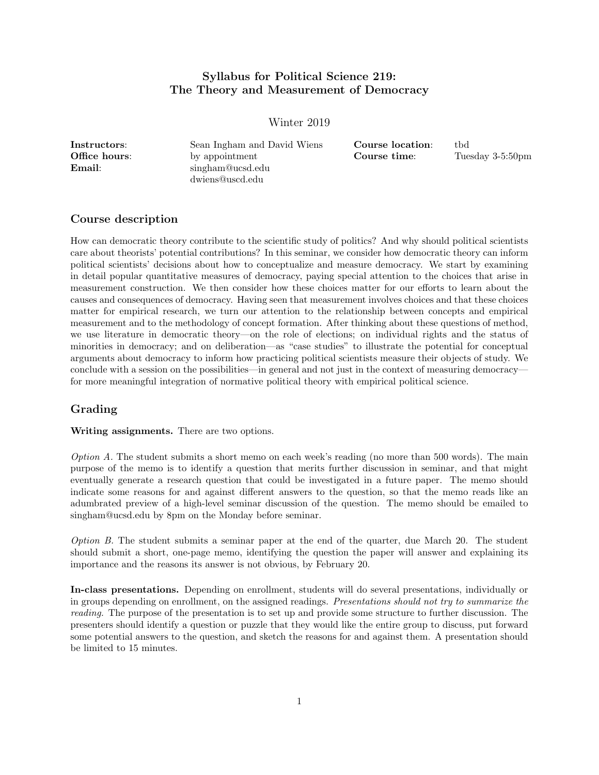## Syllabus for Political Science 219: The Theory and Measurement of Democracy

Winter 2019

| Instructors:  | Sean Ingham and David Wiens | Course location: | tbd |
|---------------|-----------------------------|------------------|-----|
| Office hours: | by appointment              | Course time:     | Tue |
| Email:        | singham@ucsd.edu            |                  |     |
|               | dwiens@uscd.edu             |                  |     |

 $e:$  Tuesday 3-5:50pm

## Course description

How can democratic theory contribute to the scientific study of politics? And why should political scientists care about theorists' potential contributions? In this seminar, we consider how democratic theory can inform political scientists' decisions about how to conceptualize and measure democracy. We start by examining in detail popular quantitative measures of democracy, paying special attention to the choices that arise in measurement construction. We then consider how these choices matter for our efforts to learn about the causes and consequences of democracy. Having seen that measurement involves choices and that these choices matter for empirical research, we turn our attention to the relationship between concepts and empirical measurement and to the methodology of concept formation. After thinking about these questions of method, we use literature in democratic theory—on the role of elections; on individual rights and the status of minorities in democracy; and on deliberation—as "case studies" to illustrate the potential for conceptual arguments about democracy to inform how practicing political scientists measure their objects of study. We conclude with a session on the possibilities—in general and not just in the context of measuring democracy for more meaningful integration of normative political theory with empirical political science.

## Grading

Writing assignments. There are two options.

Option A. The student submits a short memo on each week's reading (no more than 500 words). The main purpose of the memo is to identify a question that merits further discussion in seminar, and that might eventually generate a research question that could be investigated in a future paper. The memo should indicate some reasons for and against different answers to the question, so that the memo reads like an adumbrated preview of a high-level seminar discussion of the question. The memo should be emailed to singham@ucsd.edu by 8pm on the Monday before seminar.

Option B. The student submits a seminar paper at the end of the quarter, due March 20. The student should submit a short, one-page memo, identifying the question the paper will answer and explaining its importance and the reasons its answer is not obvious, by February 20.

In-class presentations. Depending on enrollment, students will do several presentations, individually or in groups depending on enrollment, on the assigned readings. Presentations should not try to summarize the reading. The purpose of the presentation is to set up and provide some structure to further discussion. The presenters should identify a question or puzzle that they would like the entire group to discuss, put forward some potential answers to the question, and sketch the reasons for and against them. A presentation should be limited to 15 minutes.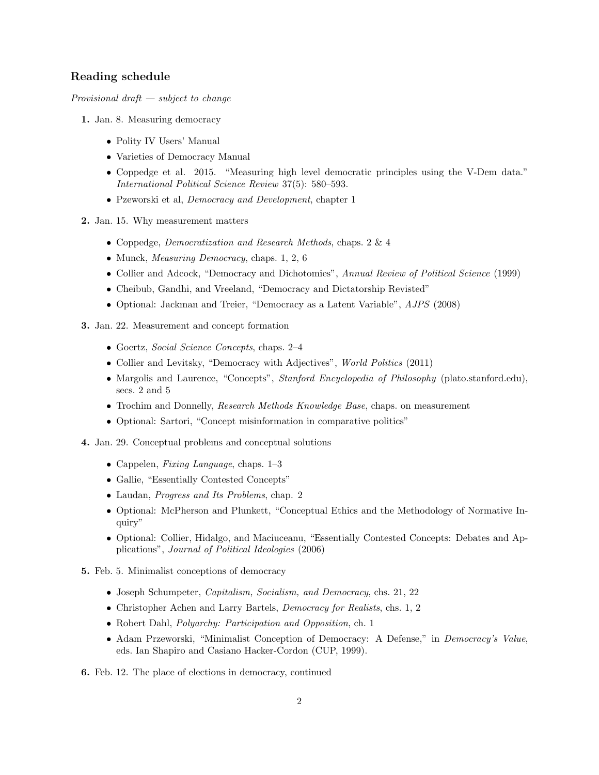## Reading schedule

Provisional draft  $-$  subject to change

- 1. Jan. 8. Measuring democracy
	- Polity IV Users' Manual
	- Varieties of Democracy Manual
	- Coppedge et al. 2015. "Measuring high level democratic principles using the V-Dem data." International Political Science Review 37(5): 580–593.
	- Pzeworski et al, Democracy and Development, chapter 1
- 2. Jan. 15. Why measurement matters
	- Coppedge, Democratization and Research Methods, chaps. 2 & 4
	- Munck, Measuring Democracy, chaps. 1, 2, 6
	- Collier and Adcock, "Democracy and Dichotomies", Annual Review of Political Science (1999)
	- Cheibub, Gandhi, and Vreeland, "Democracy and Dictatorship Revisted"
	- Optional: Jackman and Treier, "Democracy as a Latent Variable", AJPS (2008)
- 3. Jan. 22. Measurement and concept formation
	- Goertz, Social Science Concepts, chaps. 2–4
	- Collier and Levitsky, "Democracy with Adjectives", *World Politics* (2011)
	- Margolis and Laurence, "Concepts", Stanford Encyclopedia of Philosophy (plato.stanford.edu), secs. 2 and 5
	- Trochim and Donnelly, *Research Methods Knowledge Base*, chaps. on measurement
	- Optional: Sartori, "Concept misinformation in comparative politics"
- 4. Jan. 29. Conceptual problems and conceptual solutions
	- Cappelen, Fixing Language, chaps. 1–3
	- Gallie, "Essentially Contested Concepts"
	- Laudan, Progress and Its Problems, chap. 2
	- Optional: McPherson and Plunkett, "Conceptual Ethics and the Methodology of Normative Inquiry"
	- Optional: Collier, Hidalgo, and Maciuceanu, "Essentially Contested Concepts: Debates and Applications", Journal of Political Ideologies (2006)
- 5. Feb. 5. Minimalist conceptions of democracy
	- Joseph Schumpeter, Capitalism, Socialism, and Democracy, chs. 21, 22
	- Christopher Achen and Larry Bartels, Democracy for Realists, chs. 1, 2
	- Robert Dahl, Polyarchy: Participation and Opposition, ch. 1
	- Adam Przeworski, "Minimalist Conception of Democracy: A Defense," in Democracy's Value, eds. Ian Shapiro and Casiano Hacker-Cordon (CUP, 1999).

6. Feb. 12. The place of elections in democracy, continued